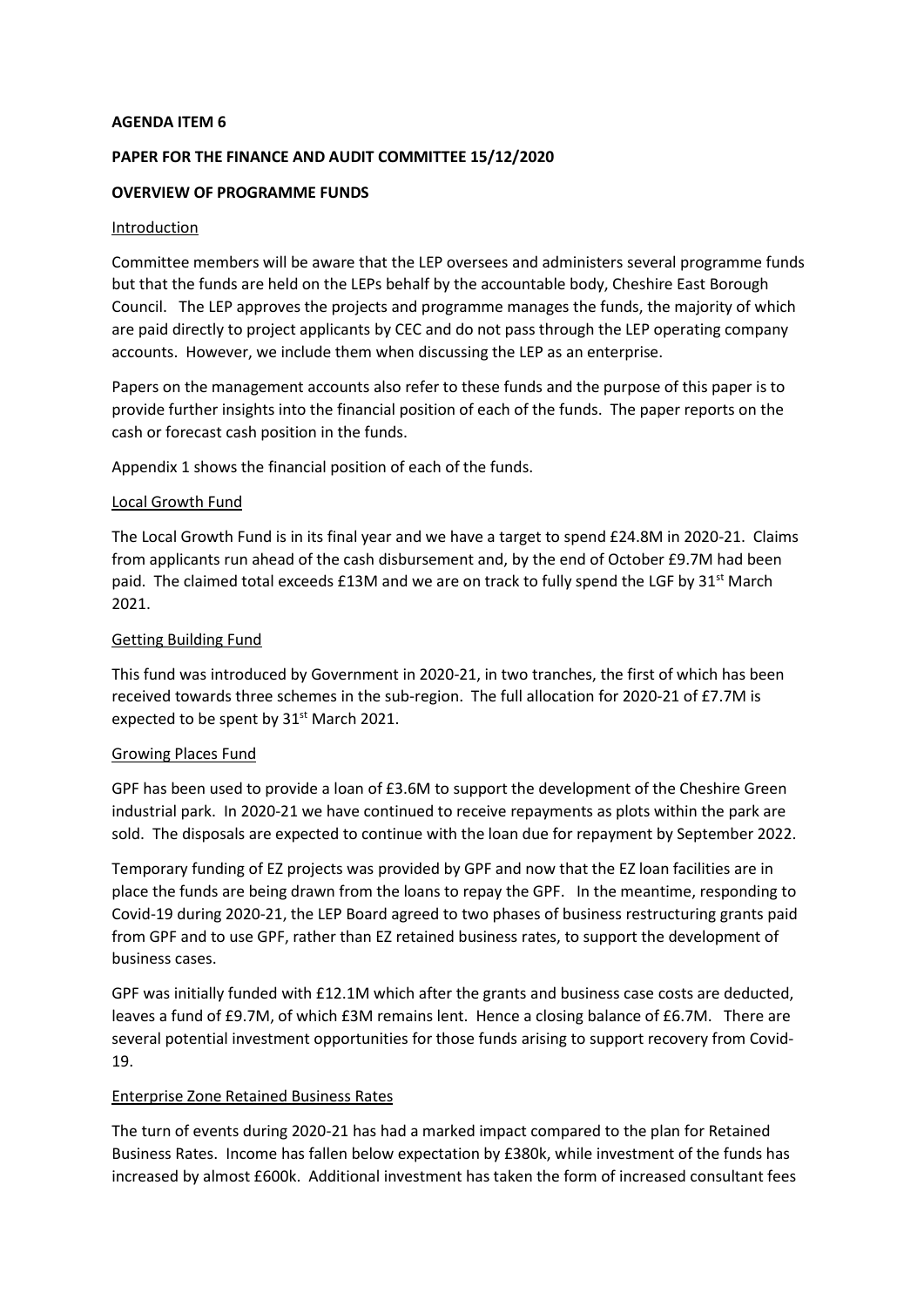#### **AGENDA ITEM 6**

### **PAPER FOR THE FINANCE AND AUDIT COMMITTEE 15/12/2020**

### **OVERVIEW OF PROGRAMME FUNDS**

#### Introduction

Committee members will be aware that the LEP oversees and administers several programme funds but that the funds are held on the LEPs behalf by the accountable body, Cheshire East Borough Council. The LEP approves the projects and programme manages the funds, the majority of which are paid directly to project applicants by CEC and do not pass through the LEP operating company accounts. However, we include them when discussing the LEP as an enterprise.

Papers on the management accounts also refer to these funds and the purpose of this paper is to provide further insights into the financial position of each of the funds. The paper reports on the cash or forecast cash position in the funds.

Appendix 1 shows the financial position of each of the funds.

#### Local Growth Fund

The Local Growth Fund is in its final year and we have a target to spend £24.8M in 2020-21. Claims from applicants run ahead of the cash disbursement and, by the end of October £9.7M had been paid. The claimed total exceeds £13M and we are on track to fully spend the LGF by 31<sup>st</sup> March 2021.

### Getting Building Fund

This fund was introduced by Government in 2020-21, in two tranches, the first of which has been received towards three schemes in the sub-region. The full allocation for 2020-21 of £7.7M is expected to be spent by 31<sup>st</sup> March 2021.

#### Growing Places Fund

GPF has been used to provide a loan of £3.6M to support the development of the Cheshire Green industrial park. In 2020-21 we have continued to receive repayments as plots within the park are sold. The disposals are expected to continue with the loan due for repayment by September 2022.

Temporary funding of EZ projects was provided by GPF and now that the EZ loan facilities are in place the funds are being drawn from the loans to repay the GPF. In the meantime, responding to Covid-19 during 2020-21, the LEP Board agreed to two phases of business restructuring grants paid from GPF and to use GPF, rather than EZ retained business rates, to support the development of business cases.

GPF was initially funded with £12.1M which after the grants and business case costs are deducted, leaves a fund of £9.7M, of which £3M remains lent. Hence a closing balance of £6.7M. There are several potential investment opportunities for those funds arising to support recovery from Covid-19.

### Enterprise Zone Retained Business Rates

The turn of events during 2020-21 has had a marked impact compared to the plan for Retained Business Rates. Income has fallen below expectation by £380k, while investment of the funds has increased by almost £600k. Additional investment has taken the form of increased consultant fees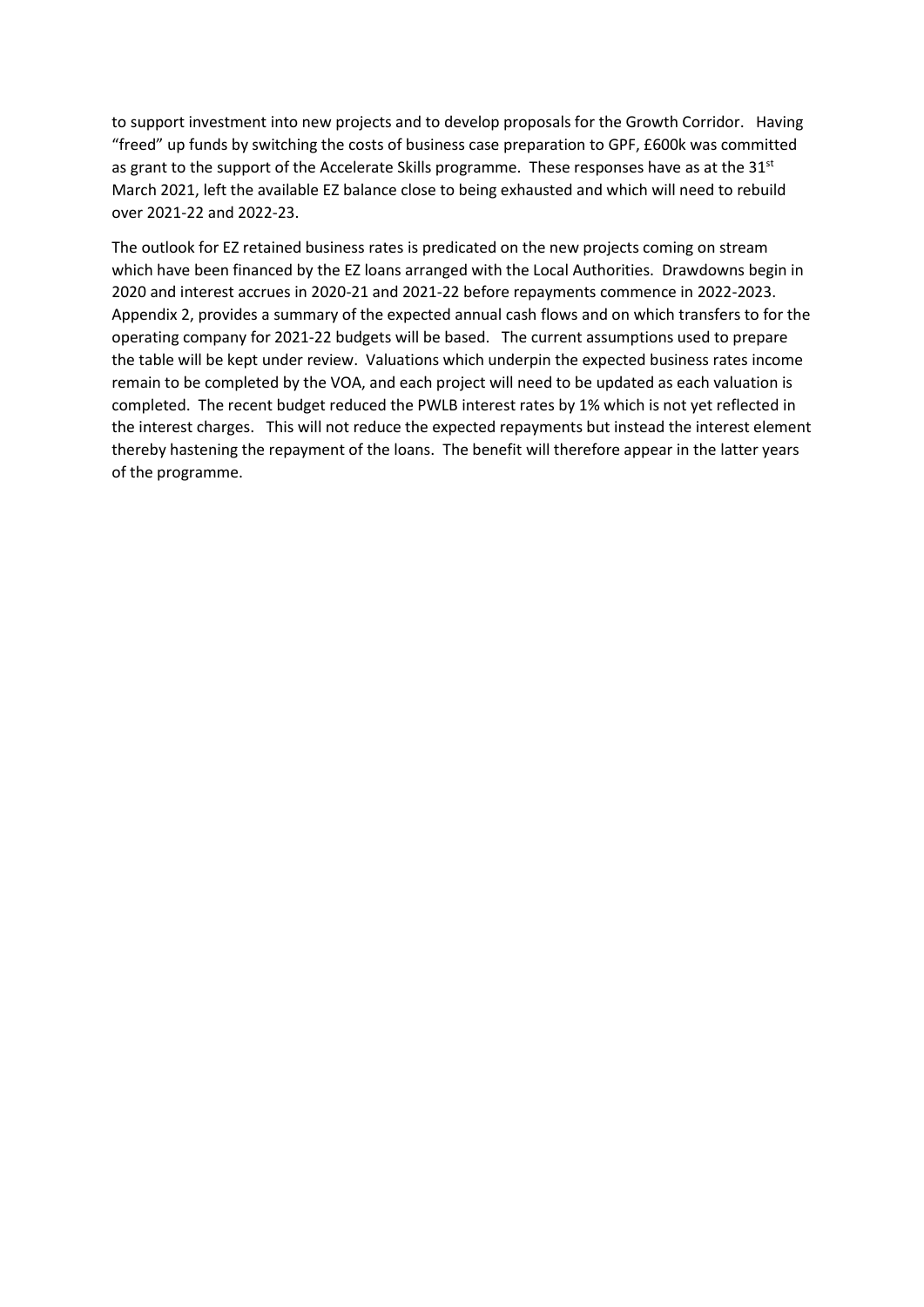to support investment into new projects and to develop proposals for the Growth Corridor. Having "freed" up funds by switching the costs of business case preparation to GPF, £600k was committed as grant to the support of the Accelerate Skills programme. These responses have as at the 31<sup>st</sup> March 2021, left the available EZ balance close to being exhausted and which will need to rebuild over 2021-22 and 2022-23.

The outlook for EZ retained business rates is predicated on the new projects coming on stream which have been financed by the EZ loans arranged with the Local Authorities. Drawdowns begin in 2020 and interest accrues in 2020-21 and 2021-22 before repayments commence in 2022-2023. Appendix 2, provides a summary of the expected annual cash flows and on which transfers to for the operating company for 2021-22 budgets will be based. The current assumptions used to prepare the table will be kept under review. Valuations which underpin the expected business rates income remain to be completed by the VOA, and each project will need to be updated as each valuation is completed. The recent budget reduced the PWLB interest rates by 1% which is not yet reflected in the interest charges. This will not reduce the expected repayments but instead the interest element thereby hastening the repayment of the loans. The benefit will therefore appear in the latter years of the programme.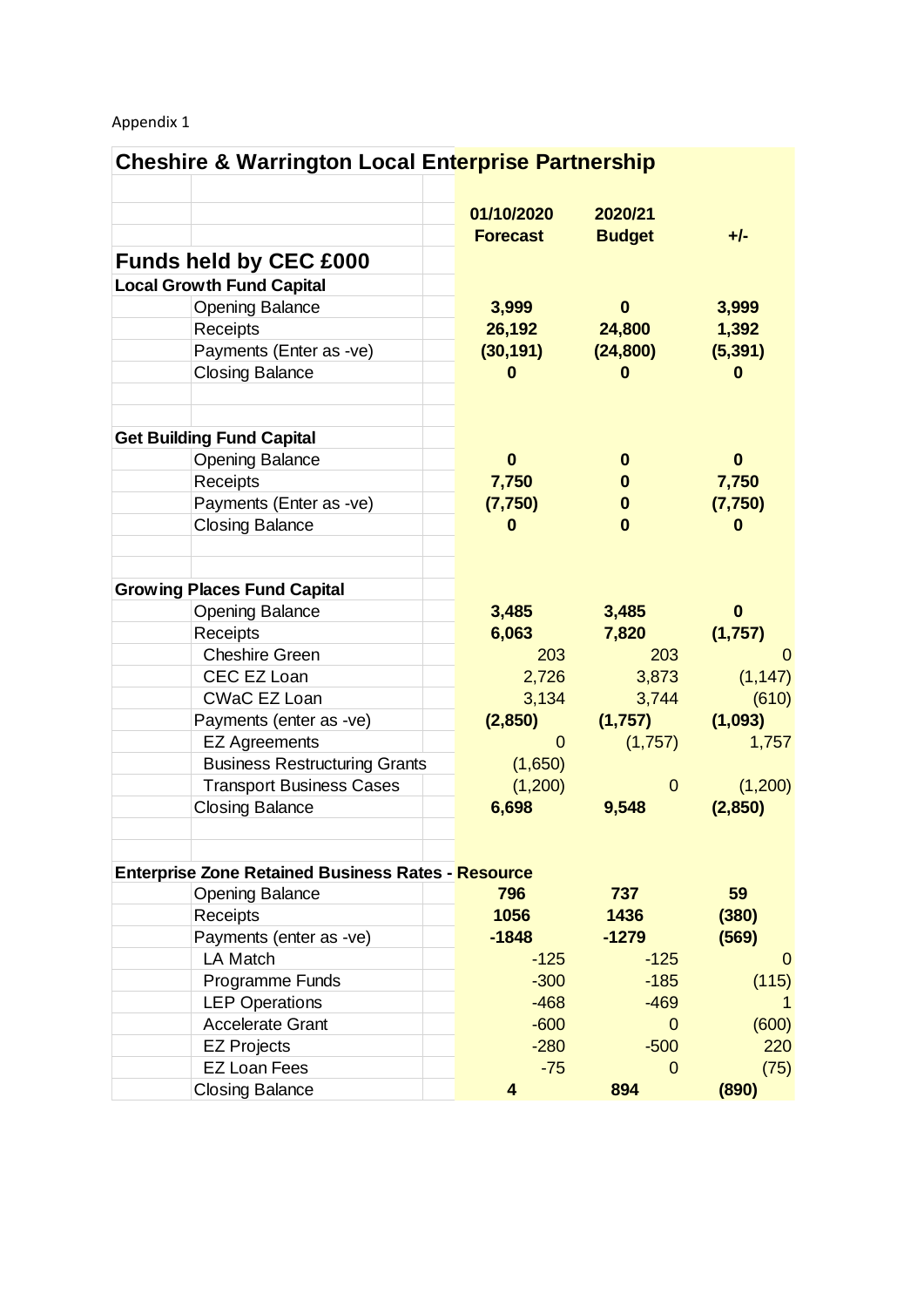## Appendix 1

| <b>Cheshire &amp; Warrington Local Enterprise Partnership</b> |                               |                          |              |
|---------------------------------------------------------------|-------------------------------|--------------------------|--------------|
| <b>Funds held by CEC £000</b>                                 | 01/10/2020<br><b>Forecast</b> | 2020/21<br><b>Budget</b> | $+/-$        |
| <b>Local Growth Fund Capital</b>                              |                               |                          |              |
| <b>Opening Balance</b>                                        | 3,999                         | $\mathbf 0$              | 3,999        |
| Receipts                                                      | 26,192                        | 24,800                   | 1,392        |
| Payments (Enter as -ve)                                       | (30, 191)                     | (24, 800)                | (5, 391)     |
| <b>Closing Balance</b>                                        | 0                             | 0                        | 0            |
| <b>Get Building Fund Capital</b>                              |                               |                          |              |
| <b>Opening Balance</b>                                        | $\mathbf{0}$                  | 0                        | $\mathbf{0}$ |
| Receipts                                                      | 7,750                         | $\bf{0}$                 | 7,750        |
| Payments (Enter as -ve)                                       | (7, 750)                      | $\bf{0}$                 | (7, 750)     |
| <b>Closing Balance</b>                                        | 0                             | $\bf{0}$                 | $\bf{0}$     |
| <b>Growing Places Fund Capital</b>                            |                               |                          |              |
| <b>Opening Balance</b>                                        | 3,485                         | 3,485                    | $\mathbf{0}$ |
| Receipts                                                      | 6,063                         | 7,820                    | (1,757)      |
| <b>Cheshire Green</b>                                         | 203                           | 203                      | O            |
| CEC EZ Loan                                                   | 2,726                         | 3,873                    | (1, 147)     |
| CWaC EZ Loan                                                  | 3,134                         | 3,744                    | (610)        |
| Payments (enter as -ve)                                       | (2,850)                       | (1,757)                  | (1,093)      |
| <b>EZ Agreements</b>                                          | $\mathbf{0}$                  | (1,757)                  | 1,757        |
| <b>Business Restructuring Grants</b>                          | (1,650)                       |                          |              |
| <b>Transport Business Cases</b>                               | (1,200)                       | $\mathbf{0}$             | (1,200)      |
| <b>Closing Balance</b>                                        | 6,698                         | 9,548                    | (2,850)      |
| <b>Enterprise Zone Retained Business Rates - Resource</b>     |                               |                          |              |
| <b>Opening Balance</b>                                        | 796                           | 737                      | 59           |
| Receipts                                                      | 1056                          | 1436                     | (380)        |
| Payments (enter as -ve)                                       | $-1848$                       | $-1279$                  | (569)        |
| LA Match                                                      | $-125$                        | $-125$                   | $\theta$     |
| Programme Funds                                               | $-300$                        | $-185$                   | (115)        |
| <b>LEP Operations</b>                                         | $-468$                        | $-469$                   | 1            |
| <b>Accelerate Grant</b>                                       | $-600$                        | $\overline{0}$           | (600)        |
| <b>EZ Projects</b>                                            | $-280$                        | $-500$                   | 220          |
| <b>EZ Loan Fees</b>                                           | $-75$                         | 0                        | (75)         |
| <b>Closing Balance</b>                                        | 4                             | 894                      | (890)        |